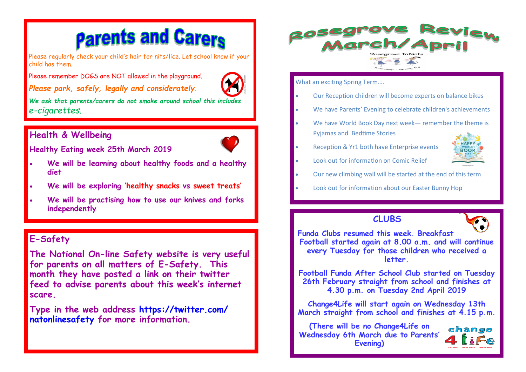# **Parents and Carers**

Please regularly check your child's hair for nits/lice. Let school know if your child has them.

Please remember DOGS are NOT allowed in the playground.

*Please park, safely, legally and considerately.* 



*We ask that parents/carers do not smoke around school this includes e-cigarettes.* 

## **Health & Wellbeing**



**Healthy Eating week 25th March 2019**

- **We will be learning about healthy foods and a healthy diet**
- **We will be exploring 'healthy snacks vs sweet treats'**
- **We will be practising how to use our knives and forks independently**

## **E-Safety**

**The National On-line Safety website is very useful for parents on all matters of E-Safety. This month they have posted a link on their twitter feed to advise parents about this week's internet scare.** 

**Type in the web address https://twitter.com/ natonlinesafety for more information.**



What an exciting Spring Term….

- Our Reception children will become experts on balance bikes
- We have Parents' Evening to celebrate children's achievements
- We have World Book Day next week- remember the theme is Pyjamas and Bedtime Stories
- Reception & Yr1 both have Enterprise events



- Look out for information on Comic Relief
- Our new climbing wall will be started at the end of this term
- Look out for information about our Easter Bunny Hop

#### **CLUBS**



**Funda Clubs resumed this week. Breakfast Football started again at 8.00 a.m. and will continue every Tuesday for those children who received a letter.** 

**Football Funda After School Club started on Tuesday 26th February straight from school and finishes at 4.30 p.m. on Tuesday 2nd April 2019**

**Change4Life will start again on Wednesday 13th March straight from school and finishes at 4.15 p.m.** 

**(There will be no Change4Life on Wednesday 6th March due to Parents' Evening)**